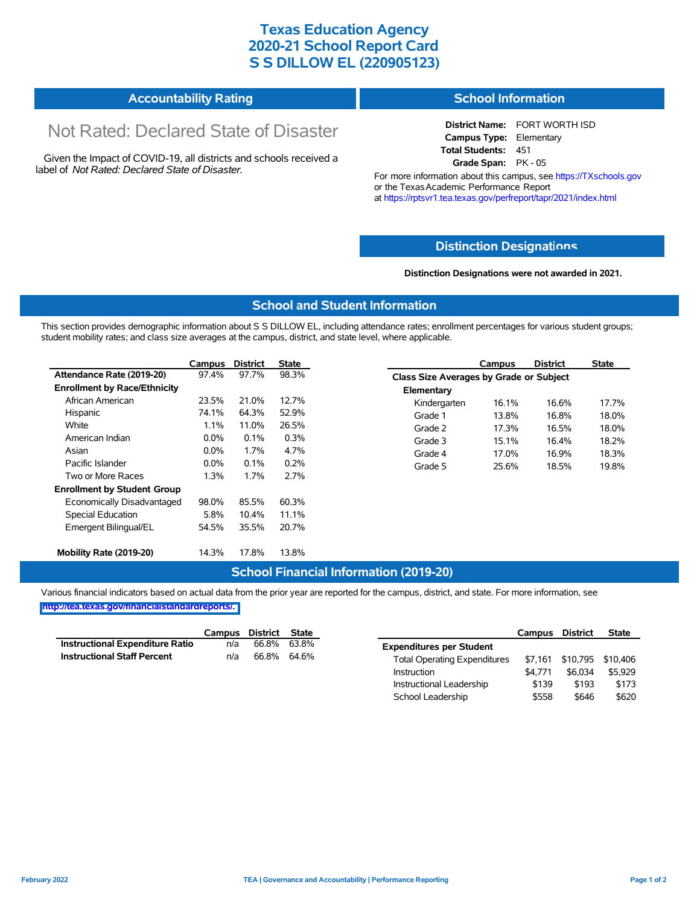# **Texas Education Agency 2020-21 School Report Card S S DILLOW EL (220905123)**

#### **Accountability Rating School Information**

# Not Rated: Declared State of Disaster

Given the Impact of COVID-19, all districts and schools received a label of *Not Rated: Declared State of Disaster.*

**District Name:** FORT WORTH ISD **Campus Type:** Elementary **Total Students:** 451 **Grade Span:** PK - 05

For more information about this campus, see https://TXschools.gov or the Texas Academic Performance Report at https://rptsvr1.tea.texas.gov/perfreport/tapr/2021/index.html

### **Distinction Designat[ions](https://TXschools.gov)**

**Distinction Designations were not awarded in 2021.**

School Leadership  $$558$  \$646 \$620

#### **School and Student Information**

This section provides demographic information about S S DILLOW EL, including attendance rates; enrollment percentages for various student groups; student mobility rates; and class size averages at the campus, district, and state level, where applicable.

|                                     | Campus  | <b>District</b> | <b>State</b> |              | Campus                                  | <b>District</b> | <b>State</b> |  |  |
|-------------------------------------|---------|-----------------|--------------|--------------|-----------------------------------------|-----------------|--------------|--|--|
| Attendance Rate (2019-20)           | 97.4%   | 97.7%           | 98.3%        |              | Class Size Averages by Grade or Subject |                 |              |  |  |
| <b>Enrollment by Race/Ethnicity</b> |         |                 |              | Elementary   |                                         |                 |              |  |  |
| African American                    | 23.5%   | 21.0%           | 12.7%        | Kindergarten | 16.1%                                   | 16.6%           | 17.7%        |  |  |
| Hispanic                            | 74.1%   | 64.3%           | 52.9%        | Grade 1      | 13.8%                                   | 16.8%           | 18.0%        |  |  |
| White                               | $1.1\%$ | 11.0%           | 26.5%        | Grade 2      | 17.3%                                   | 16.5%           | 18.0%        |  |  |
| American Indian                     | $0.0\%$ | 0.1%            | 0.3%         | Grade 3      | 15.1%                                   | 16.4%           | 18.2%        |  |  |
| Asian                               | $0.0\%$ | 1.7%            | 4.7%         | Grade 4      | 17.0%                                   | 16.9%           | 18.3%        |  |  |
| Pacific Islander                    | $0.0\%$ | 0.1%            | 0.2%         | Grade 5      | 25.6%                                   | 18.5%           | 19.8%        |  |  |
| Two or More Races                   | 1.3%    | 1.7%            | 2.7%         |              |                                         |                 |              |  |  |
| <b>Enrollment by Student Group</b>  |         |                 |              |              |                                         |                 |              |  |  |
| Economically Disadvantaged          | 98.0%   | 85.5%           | 60.3%        |              |                                         |                 |              |  |  |
| Special Education                   | 5.8%    | 10.4%           | 11.1%        |              |                                         |                 |              |  |  |
| Emergent Bilingual/EL               | 54.5%   | 35.5%           | 20.7%        |              |                                         |                 |              |  |  |
|                                     |         |                 |              |              |                                         |                 |              |  |  |
| Mobility Rate (2019-20)             | 14.3%   | 17.8%           | 13.8%        |              |                                         |                 |              |  |  |

#### **School Financial Information (2019-20)**

Various financial indicators based on actual data from the prior year are reported for the campus, district, and state. For more information, see

**[http://tea.texas.gov/financialstandardreports/.](http://tea.texas.gov/financialstandardreports/)**

|                                        | Campus | District | State |                                     | Campus  | <b>District</b> | <b>State</b>              |
|----------------------------------------|--------|----------|-------|-------------------------------------|---------|-----------------|---------------------------|
| <b>Instructional Expenditure Ratio</b> | n/a    | 66.8%    | 63.8% | <b>Expenditures per Student</b>     |         |                 |                           |
| <b>Instructional Staff Percent</b>     | n/a    | 66.8%    | 64.6% | <b>Total Operating Expenditures</b> |         |                 | \$7,161 \$10,795 \$10,406 |
|                                        |        |          |       | Instruction                         | \$4.771 | \$6.034         | \$5.929                   |
|                                        |        |          |       | Instructional Leadership            | \$139   | \$193           | \$173                     |